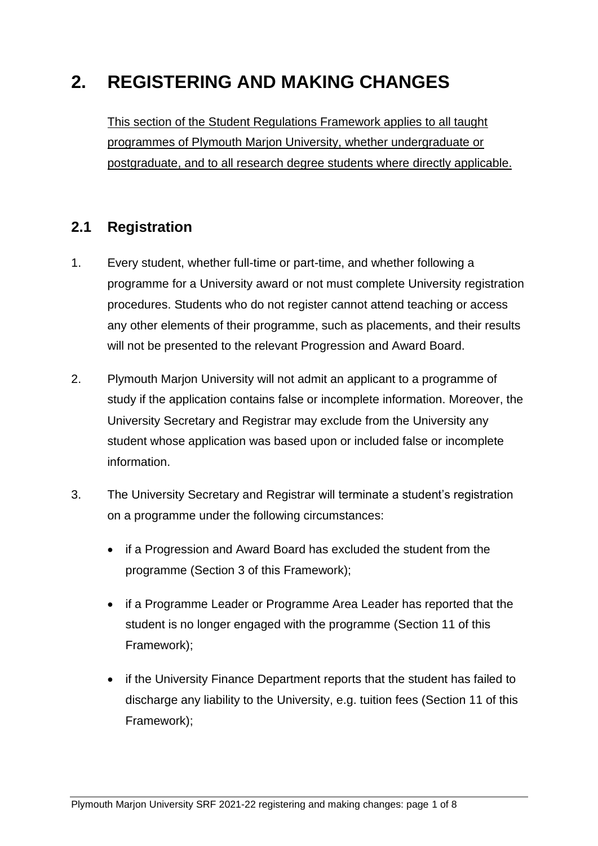# **2. REGISTERING AND MAKING CHANGES**

This section of the Student Regulations Framework applies to all taught programmes of Plymouth Marjon University, whether undergraduate or postgraduate, and to all research degree students where directly applicable.

# **2.1 Registration**

- 1. Every student, whether full-time or part-time, and whether following a programme for a University award or not must complete University registration procedures. Students who do not register cannot attend teaching or access any other elements of their programme, such as placements, and their results will not be presented to the relevant Progression and Award Board.
- 2. Plymouth Marjon University will not admit an applicant to a programme of study if the application contains false or incomplete information. Moreover, the University Secretary and Registrar may exclude from the University any student whose application was based upon or included false or incomplete information.
- 3. The University Secretary and Registrar will terminate a student's registration on a programme under the following circumstances:
	- if a Progression and Award Board has excluded the student from the programme (Section 3 of this Framework);
	- if a Programme Leader or Programme Area Leader has reported that the student is no longer engaged with the programme (Section 11 of this Framework);
	- if the University Finance Department reports that the student has failed to discharge any liability to the University, e.g. tuition fees (Section 11 of this Framework);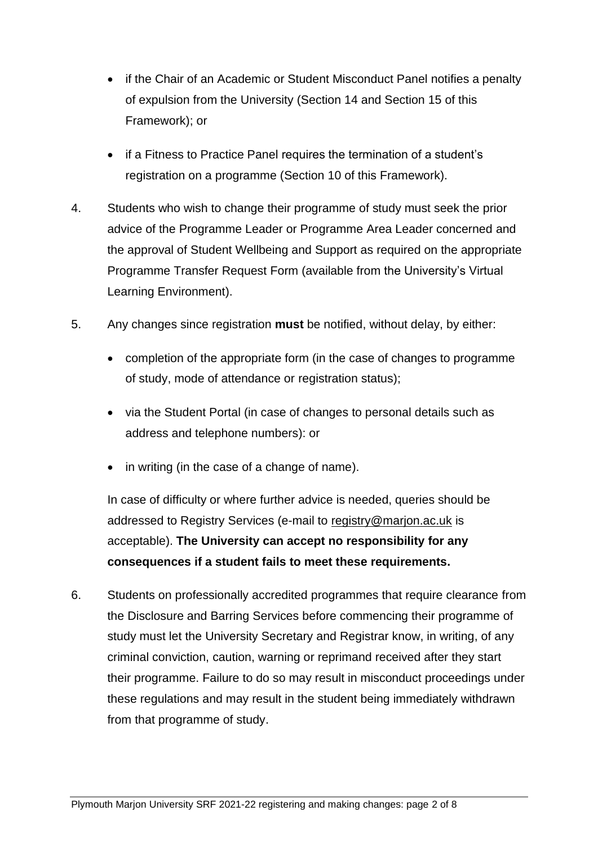- if the Chair of an Academic or Student Misconduct Panel notifies a penalty of expulsion from the University (Section 14 and Section 15 of this Framework); or
- if a Fitness to Practice Panel requires the termination of a student's registration on a programme (Section 10 of this Framework).
- 4. Students who wish to change their programme of study must seek the prior advice of the Programme Leader or Programme Area Leader concerned and the approval of Student Wellbeing and Support as required on the appropriate Programme Transfer Request Form (available from the University's Virtual Learning Environment).
- 5. Any changes since registration **must** be notified, without delay, by either:
	- completion of the appropriate form (in the case of changes to programme of study, mode of attendance or registration status);
	- via the Student Portal (in case of changes to personal details such as address and telephone numbers): or
	- in writing (in the case of a change of name).

In case of difficulty or where further advice is needed, queries should be addressed to Registry Services (e-mail to [registry@marjon.ac.uk](mailto:registry@marjon.ac.uk) is acceptable). **The University can accept no responsibility for any consequences if a student fails to meet these requirements.**

6. Students on professionally accredited programmes that require clearance from the Disclosure and Barring Services before commencing their programme of study must let the University Secretary and Registrar know, in writing, of any criminal conviction, caution, warning or reprimand received after they start their programme. Failure to do so may result in misconduct proceedings under these regulations and may result in the student being immediately withdrawn from that programme of study.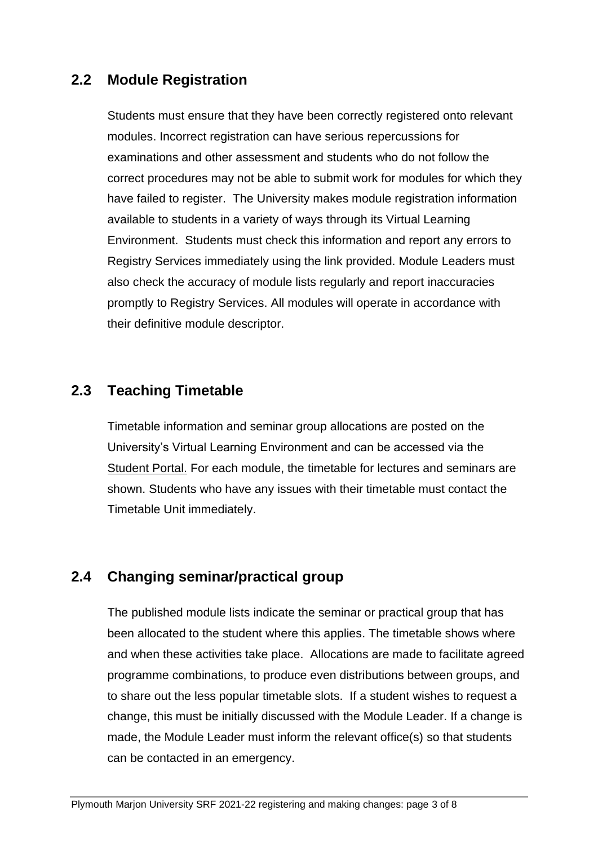#### **2.2 Module Registration**

Students must ensure that they have been correctly registered onto relevant modules. Incorrect registration can have serious repercussions for examinations and other assessment and students who do not follow the correct procedures may not be able to submit work for modules for which they have failed to register. The University makes module registration information available to students in a variety of ways through its Virtual Learning Environment. Students must check this information and report any errors to Registry Services immediately using the link provided. Module Leaders must also check the accuracy of module lists regularly and report inaccuracies promptly to Registry Services. All modules will operate in accordance with their definitive module descriptor.

#### **2.3 Teaching Timetable**

Timetable information and seminar group allocations are posted on the University's Virtual Learning Environment and can be accessed via the [Student Portal.](https://www.marjon.ac.uk/students/portal/login.aspx?ReturnUrl=%2fstudents%2fportal%2f) For each module, the timetable for lectures and seminars are shown. Students who have any issues with their timetable must contact the Timetable Unit immediately.

# **2.4 Changing seminar/practical group**

The published module lists indicate the seminar or practical group that has been allocated to the student where this applies. The timetable shows where and when these activities take place. Allocations are made to facilitate agreed programme combinations, to produce even distributions between groups, and to share out the less popular timetable slots. If a student wishes to request a change, this must be initially discussed with the Module Leader. If a change is made, the Module Leader must inform the relevant office(s) so that students can be contacted in an emergency.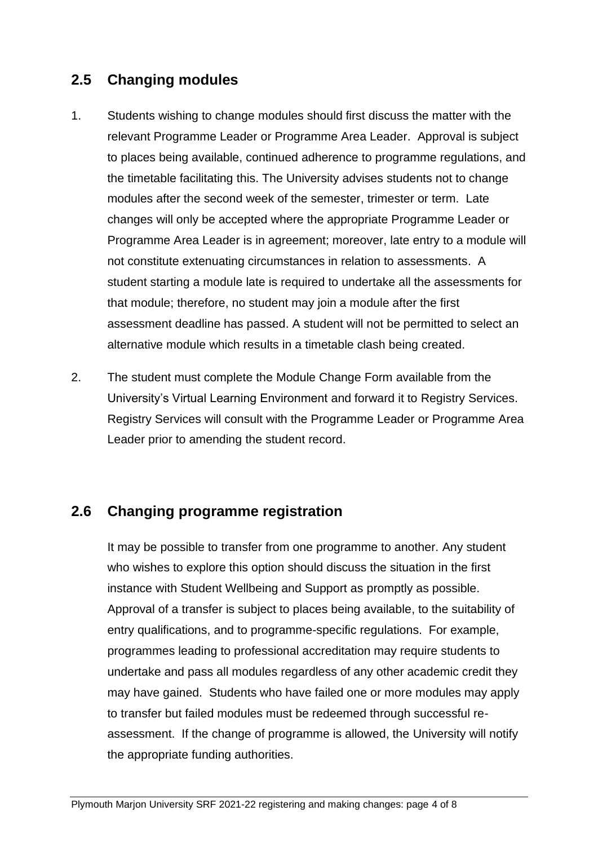### **2.5 Changing modules**

- 1. Students wishing to change modules should first discuss the matter with the relevant Programme Leader or Programme Area Leader. Approval is subject to places being available, continued adherence to programme regulations, and the timetable facilitating this. The University advises students not to change modules after the second week of the semester, trimester or term. Late changes will only be accepted where the appropriate Programme Leader or Programme Area Leader is in agreement; moreover, late entry to a module will not constitute extenuating circumstances in relation to assessments. A student starting a module late is required to undertake all the assessments for that module; therefore, no student may join a module after the first assessment deadline has passed. A student will not be permitted to select an alternative module which results in a timetable clash being created.
- 2. The student must complete the Module Change Form available from the University's Virtual Learning Environment and forward it to Registry Services. Registry Services will consult with the Programme Leader or Programme Area Leader prior to amending the student record.

#### **2.6 Changing programme registration**

It may be possible to transfer from one programme to another. Any student who wishes to explore this option should discuss the situation in the first instance with Student Wellbeing and Support as promptly as possible. Approval of a transfer is subject to places being available, to the suitability of entry qualifications, and to programme-specific regulations. For example, programmes leading to professional accreditation may require students to undertake and pass all modules regardless of any other academic credit they may have gained. Students who have failed one or more modules may apply to transfer but failed modules must be redeemed through successful reassessment. If the change of programme is allowed, the University will notify the appropriate funding authorities.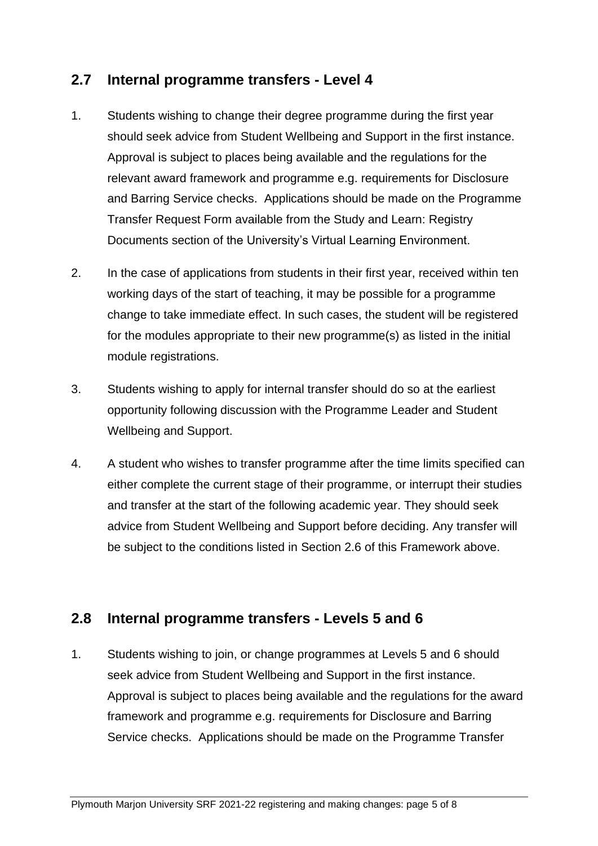#### **2.7 Internal programme transfers - Level 4**

- 1. Students wishing to change their degree programme during the first year should seek advice from Student Wellbeing and Support in the first instance. Approval is subject to places being available and the regulations for the relevant award framework and programme e.g. requirements for Disclosure and Barring Service checks. Applications should be made on the Programme Transfer Request Form available from the Study and Learn: Registry Documents section of the University's Virtual Learning Environment.
- 2. In the case of applications from students in their first year, received within ten working days of the start of teaching, it may be possible for a programme change to take immediate effect. In such cases, the student will be registered for the modules appropriate to their new programme(s) as listed in the initial module registrations.
- 3. Students wishing to apply for internal transfer should do so at the earliest opportunity following discussion with the Programme Leader and Student Wellbeing and Support.
- 4. A student who wishes to transfer programme after the time limits specified can either complete the current stage of their programme, or interrupt their studies and transfer at the start of the following academic year. They should seek advice from Student Wellbeing and Support before deciding. Any transfer will be subject to the conditions listed in Section 2.6 of this Framework above.

#### **2.8 Internal programme transfers - Levels 5 and 6**

1. Students wishing to join, or change programmes at Levels 5 and 6 should seek advice from Student Wellbeing and Support in the first instance. Approval is subject to places being available and the regulations for the award framework and programme e.g. requirements for Disclosure and Barring Service checks. Applications should be made on the Programme Transfer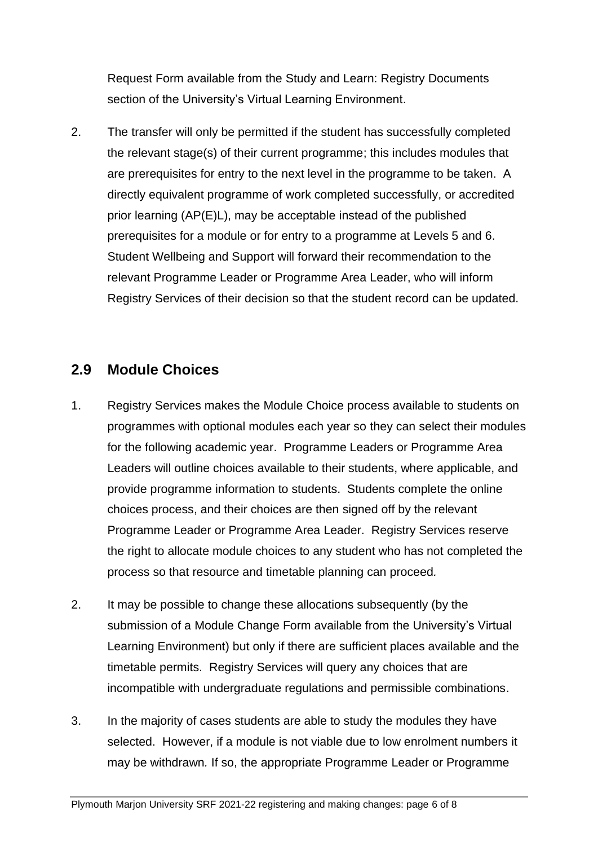Request Form available from the Study and Learn: Registry Documents section of the University's Virtual Learning Environment.

2. The transfer will only be permitted if the student has successfully completed the relevant stage(s) of their current programme; this includes modules that are prerequisites for entry to the next level in the programme to be taken. A directly equivalent programme of work completed successfully, or accredited prior learning (AP(E)L), may be acceptable instead of the published prerequisites for a module or for entry to a programme at Levels 5 and 6. Student Wellbeing and Support will forward their recommendation to the relevant Programme Leader or Programme Area Leader, who will inform Registry Services of their decision so that the student record can be updated.

#### **2.9 Module Choices**

- 1. Registry Services makes the Module Choice process available to students on programmes with optional modules each year so they can select their modules for the following academic year. Programme Leaders or Programme Area Leaders will outline choices available to their students, where applicable, and provide programme information to students. Students complete the online choices process, and their choices are then signed off by the relevant Programme Leader or Programme Area Leader. Registry Services reserve the right to allocate module choices to any student who has not completed the process so that resource and timetable planning can proceed*.*
- 2. It may be possible to change these allocations subsequently (by the submission of a Module Change Form available from the University's Virtual Learning Environment) but only if there are sufficient places available and the timetable permits. Registry Services will query any choices that are incompatible with undergraduate regulations and permissible combinations.
- 3. In the majority of cases students are able to study the modules they have selected. However, if a module is not viable due to low enrolment numbers it may be withdrawn*.* If so, the appropriate Programme Leader or Programme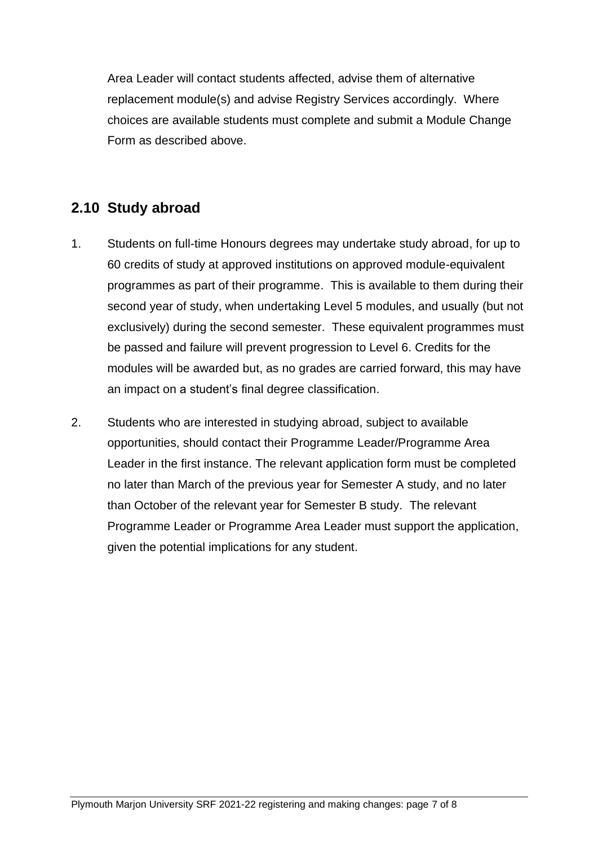Area Leader will contact students affected, advise them of alternative replacement module(s) and advise Registry Services accordingly. Where choices are available students must complete and submit a Module Change Form as described above.

## **2.10 Study abroad**

- 1. Students on full-time Honours degrees may undertake study abroad, for up to 60 credits of study at approved institutions on approved module-equivalent programmes as part of their programme. This is available to them during their second year of study, when undertaking Level 5 modules, and usually (but not exclusively) during the second semester. These equivalent programmes must be passed and failure will prevent progression to Level 6. Credits for the modules will be awarded but, as no grades are carried forward, this may have an impact on a student's final degree classification.
- 2. Students who are interested in studying abroad, subject to available opportunities, should contact their Programme Leader/Programme Area Leader in the first instance. The relevant application form must be completed no later than March of the previous year for Semester A study, and no later than October of the relevant year for Semester B study. The relevant Programme Leader or Programme Area Leader must support the application, given the potential implications for any student.